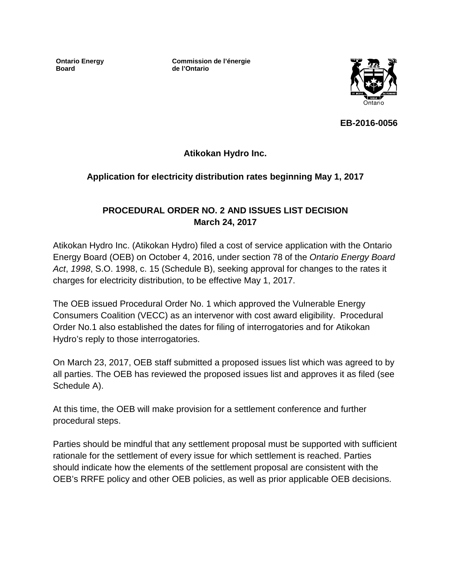**Ontario Energy Board**

**Commission de l'énergie de l'Ontario**



**EB-2016-0056**

**Atikokan Hydro Inc.**

### **Application for electricity distribution rates beginning May 1, 2017**

### **PROCEDURAL ORDER NO. 2 AND ISSUES LIST DECISION March 24, 2017**

Atikokan Hydro Inc. (Atikokan Hydro) filed a cost of service application with the Ontario Energy Board (OEB) on October 4, 2016, under section 78 of the *Ontario Energy Board Act*, *1998*, S.O. 1998, c. 15 (Schedule B), seeking approval for changes to the rates it charges for electricity distribution, to be effective May 1, 2017.

The OEB issued Procedural Order No. 1 which approved the Vulnerable Energy Consumers Coalition (VECC) as an intervenor with cost award eligibility. Procedural Order No.1 also established the dates for filing of interrogatories and for Atikokan Hydro's reply to those interrogatories.

On March 23, 2017, OEB staff submitted a proposed issues list which was agreed to by all parties. The OEB has reviewed the proposed issues list and approves it as filed (see Schedule A).

At this time, the OEB will make provision for a settlement conference and further procedural steps.

Parties should be mindful that any settlement proposal must be supported with sufficient rationale for the settlement of every issue for which settlement is reached. Parties should indicate how the elements of the settlement proposal are consistent with the OEB's RRFE policy and other OEB policies, as well as prior applicable OEB decisions.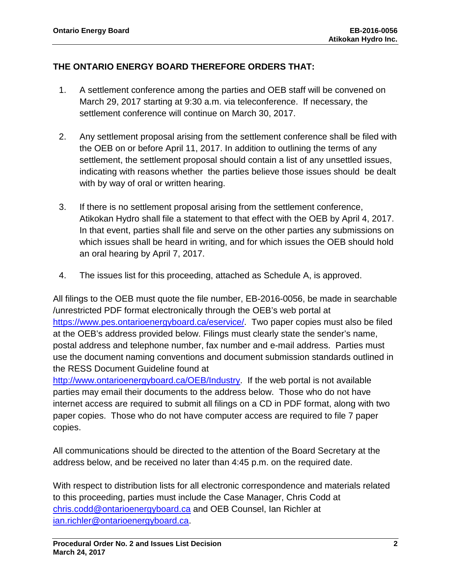### **THE ONTARIO ENERGY BOARD THEREFORE ORDERS THAT:**

- 1. A settlement conference among the parties and OEB staff will be convened on March 29, 2017 starting at 9:30 a.m. via teleconference. If necessary, the settlement conference will continue on March 30, 2017.
- 2. Any settlement proposal arising from the settlement conference shall be filed with the OEB on or before April 11, 2017. In addition to outlining the terms of any settlement, the settlement proposal should contain a list of any unsettled issues, indicating with reasons whether the parties believe those issues should be dealt with by way of oral or written hearing.
- 3. If there is no settlement proposal arising from the settlement conference, Atikokan Hydro shall file a statement to that effect with the OEB by April 4, 2017. In that event, parties shall file and serve on the other parties any submissions on which issues shall be heard in writing, and for which issues the OEB should hold an oral hearing by April 7, 2017.
- 4. The issues list for this proceeding, attached as Schedule A, is approved.

All filings to the OEB must quote the file number, EB-2016-0056, be made in searchable /unrestricted PDF format electronically through the OEB's web portal at [https://www.pes.ontarioenergyboard.ca/eservice/.](https://www.pes.ontarioenergyboard.ca/eservice/) Two paper copies must also be filed at the OEB's address provided below. Filings must clearly state the sender's name, postal address and telephone number, fax number and e-mail address. Parties must use the document naming conventions and document submission standards outlined in the RESS Document Guideline found at

[http://www.ontarioenergyboard.ca/OEB/Industry.](http://www.ontarioenergyboard.ca/OEB/Industry) If the web portal is not available parties may email their documents to the address below. Those who do not have internet access are required to submit all filings on a CD in PDF format, along with two paper copies. Those who do not have computer access are required to file 7 paper copies.

All communications should be directed to the attention of the Board Secretary at the address below, and be received no later than 4:45 p.m. on the required date.

With respect to distribution lists for all electronic correspondence and materials related to this proceeding, parties must include the Case Manager, Chris Codd at [chris.codd@ontarioenergyboard.ca](mailto:chris.codd@ontarioenergyboard.ca) and OEB Counsel, Ian Richler at [ian.richler@ontarioenergyboard.ca.](mailto:ian.richler@ontarioenergyboard.ca)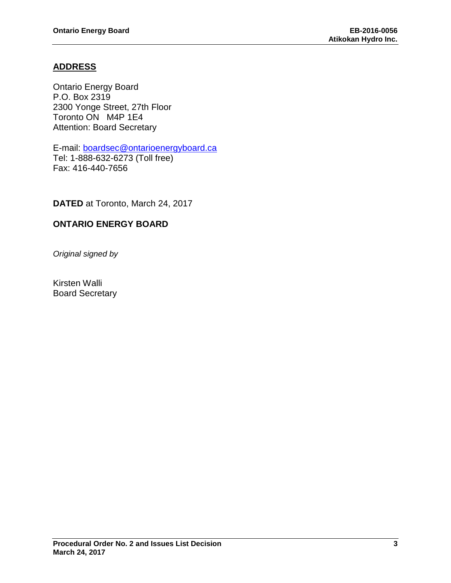### **ADDRESS**

Ontario Energy Board P.O. Box 2319 2300 Yonge Street, 27th Floor Toronto ON M4P 1E4 Attention: Board Secretary

E-mail: [boardsec@ontarioenergyboard.ca](mailto:boardsec@ontarioenergyboard.ca) Tel: 1-888-632-6273 (Toll free) Fax: 416-440-7656

**DATED** at Toronto, March 24, 2017

## **ONTARIO ENERGY BOARD**

*Original signed by*

Kirsten Walli Board Secretary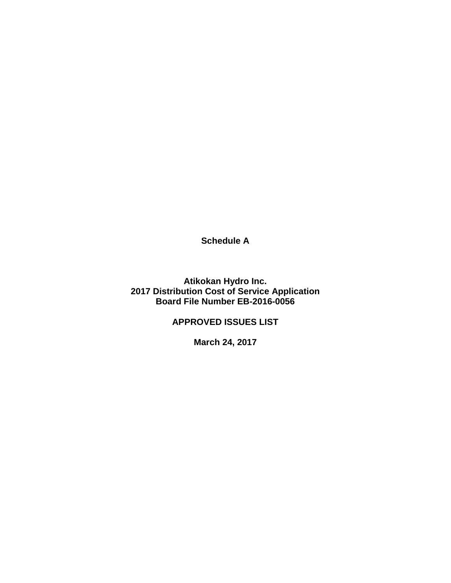**Schedule A**

**Atikokan Hydro Inc. 2017 Distribution Cost of Service Application Board File Number EB-2016-0056**

**APPROVED ISSUES LIST**

**March 24, 2017**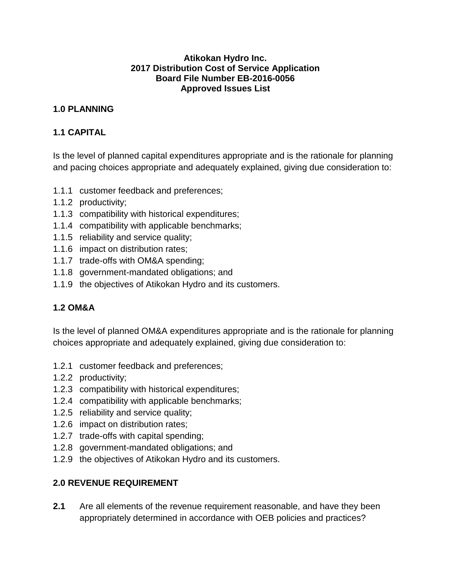#### **Atikokan Hydro Inc. 2017 Distribution Cost of Service Application Board File Number EB-2016-0056 Approved Issues List**

### **1.0 PLANNING**

#### **1.1 CAPITAL**

Is the level of planned capital expenditures appropriate and is the rationale for planning and pacing choices appropriate and adequately explained, giving due consideration to:

- 1.1.1 customer feedback and preferences;
- 1.1.2 productivity;
- 1.1.3 compatibility with historical expenditures;
- 1.1.4 compatibility with applicable benchmarks;
- 1.1.5 reliability and service quality;
- 1.1.6 impact on distribution rates;
- 1.1.7 trade-offs with OM&A spending;
- 1.1.8 government-mandated obligations; and
- 1.1.9 the objectives of Atikokan Hydro and its customers.

# **1.2 OM&A**

Is the level of planned OM&A expenditures appropriate and is the rationale for planning choices appropriate and adequately explained, giving due consideration to:

- 1.2.1 customer feedback and preferences;
- 1.2.2 productivity;
- 1.2.3 compatibility with historical expenditures;
- 1.2.4 compatibility with applicable benchmarks;
- 1.2.5 reliability and service quality;
- 1.2.6 impact on distribution rates;
- 1.2.7 trade-offs with capital spending;
- 1.2.8 government-mandated obligations; and
- 1.2.9 the objectives of Atikokan Hydro and its customers.

# **2.0 REVENUE REQUIREMENT**

**2.1** Are all elements of the revenue requirement reasonable, and have they been appropriately determined in accordance with OEB policies and practices?